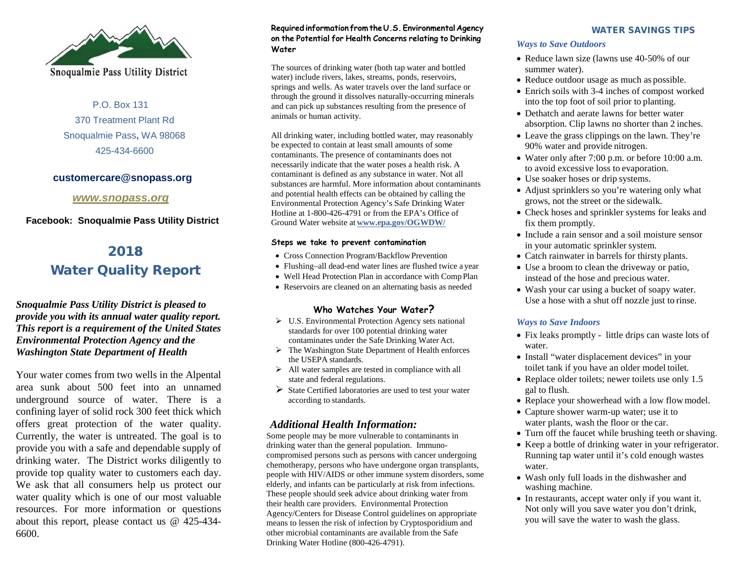

P.O. Box 131 370 Treatment Plant Rd Snoqualmie Pass**,** WA 98068 425-434-6600

## **customercare@snopass.org**

#### *[www.snopass.org](http://www.snopass.org/)*

### **Facebook: Snoqualmie Pass Utility District**

# 2018 Water Quality Report

*Snoqualmie Pass Utility District is pleased to provide you with its annual water quality report. This report is a requirement of the United States Environmental Protection Agency and the Washington State Department of Health*

Your water comes from two wells in the Alpental area sunk about 500 feet into an unnamed underground source of water. There is a confining layer of solid rock 300 feet thick which offers great protection of the water quality. Currently, the water is untreated. The goal is to provide you with a safe and dependable supply of drinking water. The District works diligently to provide top quality water to customers each day. We ask that all consumers help us protect our water quality which is one of our most valuable resources. For more information or questions about this report, please contact us @ 425-434- 6600.

#### **Requiredinformation fromtheU.S. Environmental Agency on the Potential for Health Concerns relating to Drinking Water**

The sources of drinking water (both tap water and bottled water) include rivers, lakes, streams, ponds, reservoirs, springs and wells. As water travels over the land surface or through the ground it dissolves naturally-occurring minerals and can pick up substances resulting from the presence of animals or human activity.

All drinking water, including bottled water, may reasonably be expected to contain at least small amounts of some contaminants. The presence of contaminants does not necessarily indicate that the water poses a health risk. A contaminant is defined as any substance in water. Not all substances are harmful. More information about contaminants and potential health effects can be obtained by calling the Environmental Protection Agency's Safe Drinking Water Hotline at 1-800-426-4791 or from the EPA's Office of Ground Water website at **[www.epa.gov/OGWDW/](http://www.epa.gov/OGWDW/)**

#### **Steps we take to prevent contamination**

- Cross Connection Program/Backflow Prevention
- Flushing–all dead-end water lines are flushed twice a year
- Well Head Protection Plan in accordance with Comp Plan
- Reservoirs are cleaned on an alternating basis as needed

### **Who Watches Your Water?**

- U.S. Environmental Protection Agency sets national standards for over 100 potential drinking water contaminates under the Safe Drinking Water Act.
- $\triangleright$  The Washington State Department of Health enforces the USEPA standards.
- $\triangleright$  All water samples are tested in compliance with all state and federal regulations.
- $\triangleright$  State Certified laboratories are used to test your water according to standards.

## *Additional Health Information:*

Some people may be more vulnerable to contaminants in drinking water than the general population. Immunocompromised persons such as persons with cancer undergoing chemotherapy, persons who have undergone organ transplants, people with HIV/AIDS or other immune system disorders, some elderly, and infants can be particularly at risk from infections. These people should seek advice about drinking water from their health care providers. Environmental Protection Agency/Centers for Disease Control guidelines on appropriate means to lessen the risk of infection by Cryptosporidium and other microbial contaminants are available from the Safe Drinking Water Hotline (800-426-4791).

#### WATER SAVINGS TIPS

#### *Ways to Save Outdoors*

- Reduce lawn size (lawns use 40-50% of our summer water).
- Reduce outdoor usage as much as possible.
- Enrich soils with 3-4 inches of compost worked into the top foot of soil prior to planting.
- Dethatch and aerate lawns for better water absorption. Clip lawns no shorter than 2 inches.
- Leave the grass clippings on the lawn. They're 90% water and provide nitrogen.
- Water only after 7:00 p.m. or before 10:00 a.m. to avoid excessive loss to evaporation.
- Use soaker hoses or drip systems.
- Adjust sprinklers so you're watering only what grows, not the street or the sidewalk.
- Check hoses and sprinkler systems for leaks and fix them promptly.
- Include a rain sensor and a soil moisture sensor in your automatic sprinkler system.
- Catch rainwater in barrels for thirsty plants.
- Use a broom to clean the driveway or patio, instead of the hose and precious water.
- Wash your car using a bucket of soapy water. Use a hose with a shut off nozzle just to rinse.

#### *Ways to Save Indoors*

- Fix leaks promptly little drips can waste lots of water.
- Install "water displacement devices" in your toilet tank if you have an older model toilet.
- Replace older toilets; newer toilets use only 1.5 gal to flush.
- Replace your showerhead with a low flow model.
- Capture shower warm-up water; use it to water plants, wash the floor or the car.
- Turn off the faucet while brushing teeth or shaving.
- Keep a bottle of drinking water in your refrigerator. Running tap water until it's cold enough wastes water.
- Wash only full loads in the dishwasher and washing machine.
- In restaurants, accept water only if you want it. Not only will you save water you don't drink, you will save the water to wash the glass.